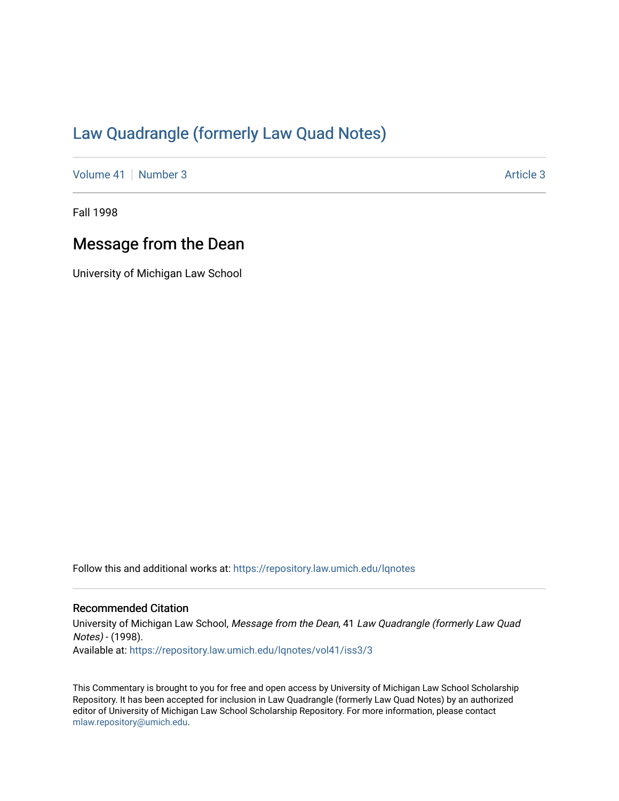## [Law Quadrangle \(formerly Law Quad Notes\)](https://repository.law.umich.edu/lqnotes)

[Volume 41](https://repository.law.umich.edu/lqnotes/vol41) | [Number 3](https://repository.law.umich.edu/lqnotes/vol41/iss3) [Article 3](https://repository.law.umich.edu/lqnotes/vol41/iss3/3) Article 3

Fall 1998

## Message from the Dean

University of Michigan Law School

Follow this and additional works at: [https://repository.law.umich.edu/lqnotes](https://repository.law.umich.edu/lqnotes?utm_source=repository.law.umich.edu%2Flqnotes%2Fvol41%2Fiss3%2F3&utm_medium=PDF&utm_campaign=PDFCoverPages) 

## Recommended Citation

University of Michigan Law School, Message from the Dean, 41 Law Quadrangle (formerly Law Quad Notes) - (1998). Available at: [https://repository.law.umich.edu/lqnotes/vol41/iss3/3](https://repository.law.umich.edu/lqnotes/vol41/iss3/3?utm_source=repository.law.umich.edu%2Flqnotes%2Fvol41%2Fiss3%2F3&utm_medium=PDF&utm_campaign=PDFCoverPages) 

This Commentary is brought to you for free and open access by University of Michigan Law School Scholarship Repository. It has been accepted for inclusion in Law Quadrangle (formerly Law Quad Notes) by an authorized editor of University of Michigan Law School Scholarship Repository. For more information, please contact [mlaw.repository@umich.edu.](mailto:mlaw.repository@umich.edu)